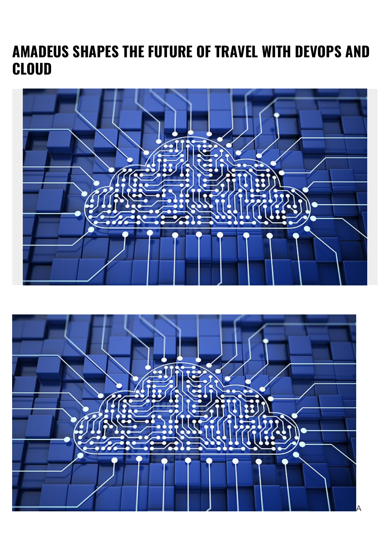## **AMADEUS SHAPES THE FUTURE OF TRAVEL WITH DEVOPS AND CLOUD**



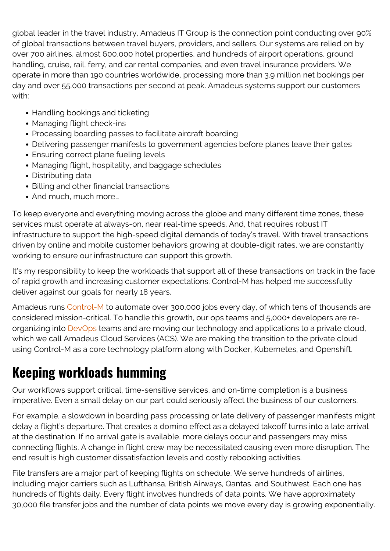global leader in the travel industry, Amadeus IT Group is the connection point conducting over 90% of global transactions between travel buyers, providers, and sellers. Our systems are relied on by over 700 airlines, almost 600,000 hotel properties, and hundreds of airport operations, ground handling, cruise, rail, ferry, and car rental companies, and even travel insurance providers. We operate in more than 190 countries worldwide, processing more than 3.9 million net bookings per day and over 55,000 transactions per second at peak. Amadeus systems support our customers with:

- Handling bookings and ticketing
- Managing flight check-ins
- Processing boarding passes to facilitate aircraft boarding
- Delivering passenger manifests to government agencies before planes leave their gates
- Ensuring correct plane fueling levels
- Managing flight, hospitality, and baggage schedules
- Distributing data
- Billing and other financial transactions
- And much, much more...

To keep everyone and everything moving across the globe and many different time zones, these services must operate at always-on, near real-time speeds. And, that requires robust IT infrastructure to support the high-speed digital demands of today's travel. With travel transactions driven by online and mobile customer behaviors growing at double-digit rates, we are constantly working to ensure our infrastructure can support this growth.

It's my responsibility to keep the workloads that support all of these transactions on track in the face of rapid growth and increasing customer expectations. Control-M has helped me successfully deliver against our goals for nearly 18 years.

Amadeus runs [Control-M](https://blogs.bmc.com/it-solutions/control-m.html) to automate over 300,000 jobs every day, of which tens of thousands are considered mission-critical. To handle this growth, our ops teams and 5,000+ developers are reorganizing into **DevOps** teams and are moving our technology and applications to a private cloud, which we call Amadeus Cloud Services (ACS). We are making the transition to the private cloud using Control-M as a core technology platform along with Docker, Kubernetes, and Openshift.

# **Keeping workloads humming**

Our workflows support critical, time-sensitive services, and on-time completion is a business imperative. Even a small delay on our part could seriously affect the business of our customers.

For example, a slowdown in boarding pass processing or late delivery of passenger manifests might delay a flight's departure. That creates a domino effect as a delayed takeoff turns into a late arrival at the destination. If no arrival gate is available, more delays occur and passengers may miss connecting flights. A change in flight crew may be necessitated causing even more disruption. The end result is high customer dissatisfaction levels and costly rebooking activities.

File transfers are a major part of keeping flights on schedule. We serve hundreds of airlines, including major carriers such as Lufthansa, British Airways, Qantas, and Southwest. Each one has hundreds of flights daily. Every flight involves hundreds of data points. We have approximately 30,000 file transfer jobs and the number of data points we move every day is growing exponentially.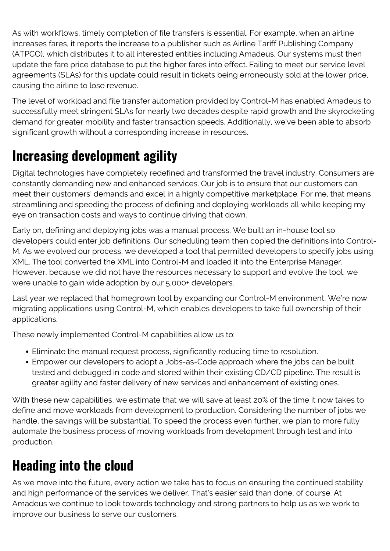As with workflows, timely completion of file transfers is essential. For example, when an airline increases fares, it reports the increase to a publisher such as Airline Tariff Publishing Company (ATPCO), which distributes it to all interested entities including Amadeus. Our systems must then update the fare price database to put the higher fares into effect. Failing to meet our service level agreements (SLAs) for this update could result in tickets being erroneously sold at the lower price, causing the airline to lose revenue.

The level of workload and file transfer automation provided by Control-M has enabled Amadeus to successfully meet stringent SLAs for nearly two decades despite rapid growth and the skyrocketing demand for greater mobility and faster transaction speeds. Additionally, we've been able to absorb significant growth without a corresponding increase in resources.

### **Increasing development agility**

Digital technologies have completely redefined and transformed the travel industry. Consumers are constantly demanding new and enhanced services. Our job is to ensure that our customers can meet their customers' demands and excel in a highly competitive marketplace. For me, that means streamlining and speeding the process of defining and deploying workloads all while keeping my eye on transaction costs and ways to continue driving that down.

Early on, defining and deploying jobs was a manual process. We built an in-house tool so developers could enter job definitions. Our scheduling team then copied the definitions into Control-M. As we evolved our process, we developed a tool that permitted developers to specify jobs using XML. The tool converted the XML into Control-M and loaded it into the Enterprise Manager. However, because we did not have the resources necessary to support and evolve the tool, we were unable to gain wide adoption by our 5,000+ developers.

Last year we replaced that homegrown tool by expanding our Control-M environment. We're now migrating applications using Control-M, which enables developers to take full ownership of their applications.

These newly implemented Control-M capabilities allow us to:

- Eliminate the manual request process, significantly reducing time to resolution.
- Empower our developers to adopt a Jobs-as-Code approach where the jobs can be built, tested and debugged in code and stored within their existing CD/CD pipeline. The result is greater agility and faster delivery of new services and enhancement of existing ones.

With these new capabilities, we estimate that we will save at least 20% of the time it now takes to define and move workloads from development to production. Considering the number of jobs we handle, the savings will be substantial. To speed the process even further, we plan to more fully automate the business process of moving workloads from development through test and into production.

# **Heading into the cloud**

As we move into the future, every action we take has to focus on ensuring the continued stability and high performance of the services we deliver. That's easier said than done, of course. At Amadeus we continue to look towards technology and strong partners to help us as we work to improve our business to serve our customers.